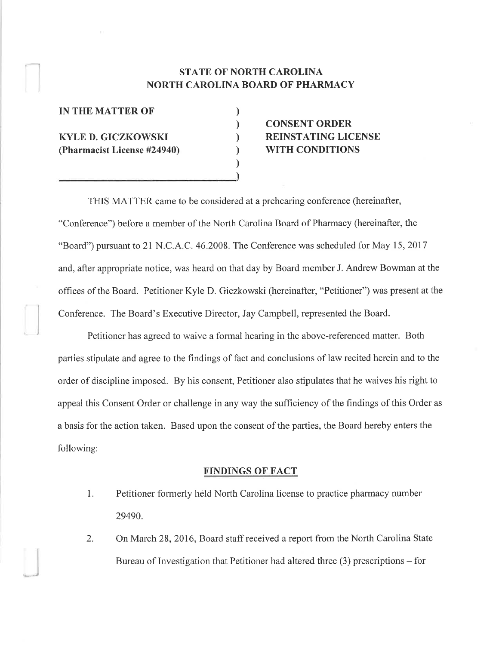### STATE OF NORTH CAROLINA NORTH CAROLINA BOARD OF PHARMACY

) ) ) ) ) I

#### IN THE MATTER OF

KYLE D, GICZKOWSKI (Pharmacist License #24940)

## CONSENT ORDER REINSTATING LICENSE WITH CONDITIONS

THIS MATTER came to be considered at a prehearing conference (hereinafter, "Conference") before a member of the North Carolina Board of Pharmacy (hereinafter, the "Board") pursuant to 2l N.C.4.C.46.2008. The Conference was scheduled for May 15,2017 and, after appropriate notice, was heard on that day by Board member J. Andrew Bowman at the offices of the Board. Petitioner Kyle D. Giczkowski (hereinafter, "Petitioner") was present at the Conference. The Board's Executive Director, Jay Campbell, represented the Board.

Petitioner has agreed to waive a formal hearing in the above-referenced matter. Both parties stipulate and agree to the findings of fact and conclusions of law recited herein and to the order of discipline imposed. By his consent, Petitioner also stipulates that he waives his right to appeal this Consent Order or challenge in any way the sufficiency of the findings of this Order as a basis for the action taken. Based upon the consent of the parties, the Board hereby enters the following:

#### FINDINGS OF FACT

- 1. Petitioner fornrerly held North Carolina license to practice pharmacy number 29490.
- 2. On March 28,2016, Board staff received a report from the North Carolina State Bureau of Investigation that Petitioner had altered three (3) prescriptions - for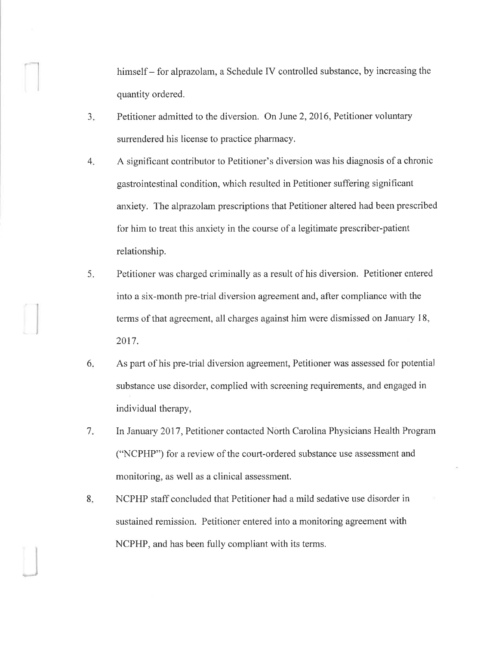himself – for alprazolam, a Schedule IV controlled substance, by increasing the quantity ordered.

- $3<sub>1</sub>$ Petitioner admitted to the diversion. On June 2,2016, Petitioner voluntary surrendered his license to practice pharmacy.
- 4 A significant contributor to Petitioner's diversion was his diagnosis of a chronic gastrointestinal condition, which resulted in Petitioner suffering significant anxiety. The alprazolam prescriptions that Petitioner altered had been prescribed for him to treat this anxiety in the course of a legitimate prescriber-patient relationship.
- Petitioner was charged criminally as a result of his diversion. Petitioner entered into a six-month pre-trial diversion agreement and, after compliance with the terms of that agreement, all charges against him were dismissed on January 18, 2017. 5
- As part of his pre-trial diversion agreement, Petitioner was assessed for potential substance use disorder, complied with screening requirements, and engaged in individual therapy, 6
- In January 2017, Petitioner contacted North Carolina Physicians Health Program ("NCPHP") for a review of the court-ordered substance use assessment and monitoring, as well as a clinical assessment. 7.
- NCPHP staff concluded that Petitioner had a mild sedative use disorder in sustained remission. Petitioner entered into a monitoring agreement with NCPHP, and has been fully compliant with its terms. 8.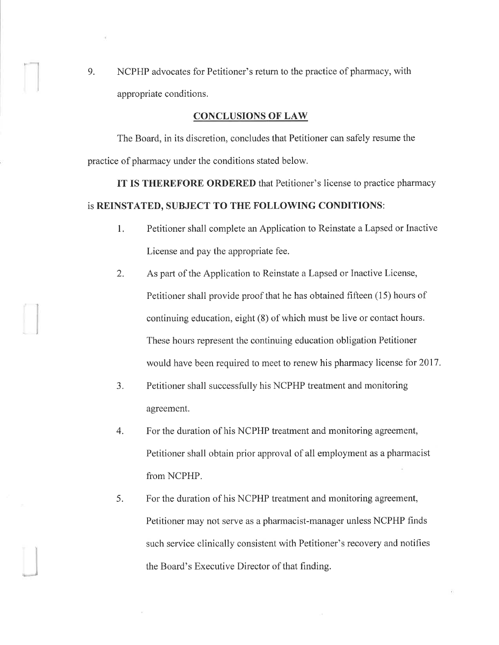9. NCPHP advocates for Petitioner's return to the practice of pharmacy, with appropriate conditions.

#### CONCLUSIONS OF LAW

The Board, in its discretion, concludes that Petitioner can safely resume the practice of pharmacy under the conditions stated below.

IT IS THEREFORE ORDERED that Petitioner's license to practice pharmacy is REINSTATED, SUBJECT TO THE FOLLOWING CONDITIONS:

- 1. Petitioner shall complete an Application to Reinstate a Lapsed or Inactive License and pay the appropriate fee.
- 2. As part of the Application to Reinstate a Lapsed or Inactive License, Petitioner shall provide proof that he has obtained fifteen (15) hours of continuing education, eight (8) of which must be live or contact hours. These hours represent the continuing education obligation Petitioner would have been required to meet to renew his pharmacy license for 2017.
- 3. Petitioner shall successfully his NCPHP treatment and monitoring agreement.
- 4. For the duration of his NCPHP treatment and monitoring agreement, Petitioner shall obtain prior approval of all employment as a pharmacist fiom NCPHP.
- 5. For the duration of his NCPHP treatment and monitoring agreement, Petitioner may not serve as a pharmacist-manager unless NCPHP finds such service clinically consistent with Petitioner's recovery and notifies the Board's Executive Director of that finding.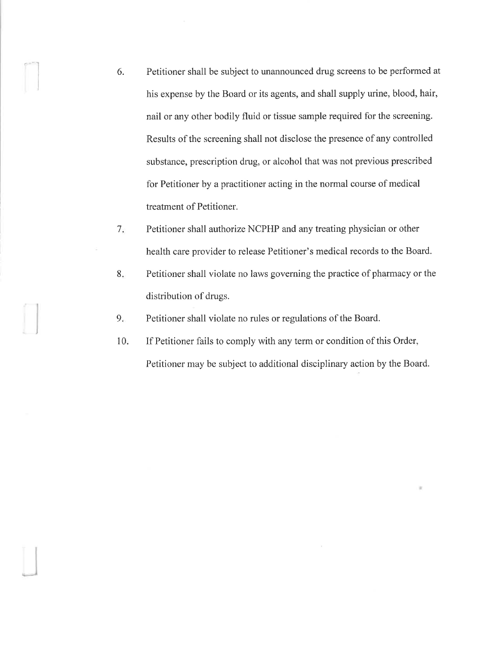6. Petitioner shall be subject to unannounced drug screens to be performed at his expense by the Board or its agents, and shall supply urine, blood, hair, nail or any other bodily fluid or tissue sample required for the screening. Results of the screening shall not disclose the presence of any controlled substance, prescription drug, or alcohol that was not previous prescribed for Petitioner by a practitioner acting in the normal course of medical treatment of Petitioner.

I

- $7<sub>i</sub>$ Petitioner shall authorize NCPHP and any treating physician or other health care provider to release Petitioner's medical records to the Board.
- 8. Petitioner shall violate no laws governing the practice of pharmacy or the distribution of drugs.
- 9. Petitioner shall violate no rules or regulations of the Board.
- 10 If Petitioner fails to comply with any term or condition of this Order, Petitioner may be subject to additional disciplinary action by the Board.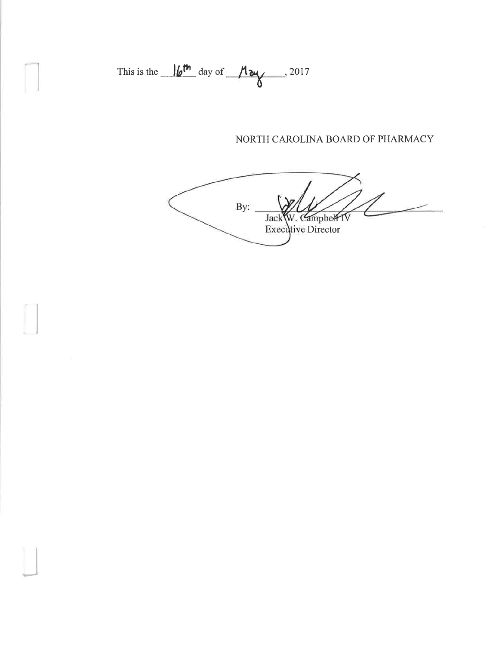This is the 
$$
16^{\text{th}}
$$
 day of  $\frac{M_{\text{av}}}{M}$ , 2017

# NORTH CAROLINA BOARD OF PHARMACY

By: Jack W. Campbell IV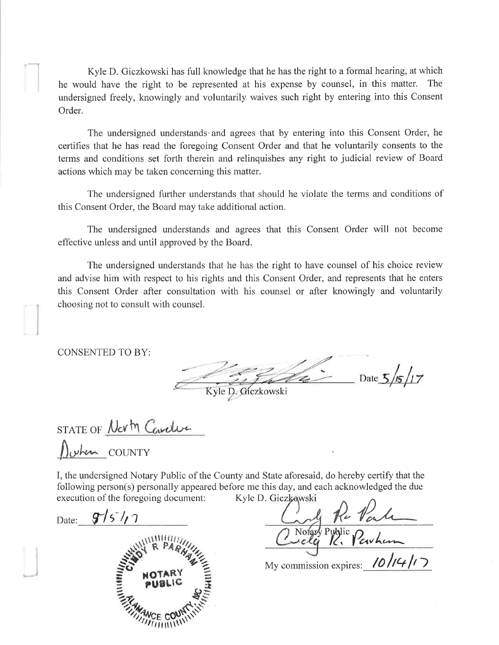Kyle D. Giczkowski has full knowledge that he has the right to a formal hearing, at which he would have the right to be represented at his expense by counsel, in this matter. The undersigned freely, knowingly and voluntarily waives such right by entering into this Consent Order.

The undersigned understands and agrees that by entering into this Consent Order, he certifies that he has read the foregoing Consent Order and that he voluntarily consents to the terms and conditions set forth therein and relinquishes any right to judicial review of Board actions which may be taken concerning this matter.

The undersigned further understands that should he violate the terms and conditions of this Consent Order, the Board may take additional action.

The undersigned understands and agrees that this Consent Order will not become effective unless and until approved by the Board.

The undersigned understands that he has the right to have counsel of his choice review and advise him with respect to his rights and this Consent Order, and represents that he enters this Consent Order after consultation with his counsel or after knowingly and voluntarily choosing not to consult with counsel.

**CONSENTED TO BY:** 

Date  $5/5/7$ D. Gíczkowski

STATE OF Nerty Cardian OUNTY

I, the undersigned Notary Public of the County and State aforesaid, do hereby certify that the following person(s) personally appeared before me this day, and each acknowledged the due Kyle D. Giczkowski execution of the foregoing document:

Date:  $9/5/7$ 



Volger Plu Varle

My commission expires:  $10/14/7$